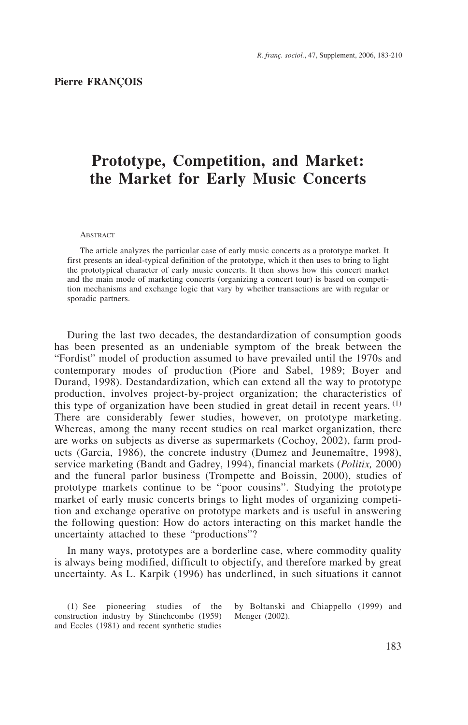# **Prototype, Competition, and Market: the Market for Early Music Concerts**

#### **ABSTRACT**

The article analyzes the particular case of early music concerts as a prototype market. It first presents an ideal-typical definition of the prototype, which it then uses to bring to light the prototypical character of early music concerts. It then shows how this concert market and the main mode of marketing concerts (organizing a concert tour) is based on competition mechanisms and exchange logic that vary by whether transactions are with regular or sporadic partners.

During the last two decades, the destandardization of consumption goods has been presented as an undeniable symptom of the break between the "Fordist" model of production assumed to have prevailed until the 1970s and contemporary modes of production (Piore and Sabel, 1989; Boyer and Durand, 1998). Destandardization, which can extend all the way to prototype production, involves project-by-project organization; the characteristics of this type of organization have been studied in great detail in recent years. (1) There are considerably fewer studies, however, on prototype marketing. Whereas, among the many recent studies on real market organization, there are works on subjects as diverse as supermarkets (Cochoy, 2002), farm products (Garcia, 1986), the concrete industry (Dumez and Jeunemaître, 1998), service marketing (Bandt and Gadrey, 1994), financial markets (*Politix,* 2000) and the funeral parlor business (Trompette and Boissin, 2000), studies of prototype markets continue to be "poor cousins". Studying the prototype market of early music concerts brings to light modes of organizing competition and exchange operative on prototype markets and is useful in answering the following question: How do actors interacting on this market handle the uncertainty attached to these "productions"?

In many ways, prototypes are a borderline case, where commodity quality is always being modified, difficult to objectify, and therefore marked by great uncertainty. As L. Karpik (1996) has underlined, in such situations it cannot

(1) See pioneering studies of the construction industry by Stinchcombe (1959) and Eccles (1981) and recent synthetic studies

by Boltanski and Chiappello (1999) and Menger (2002).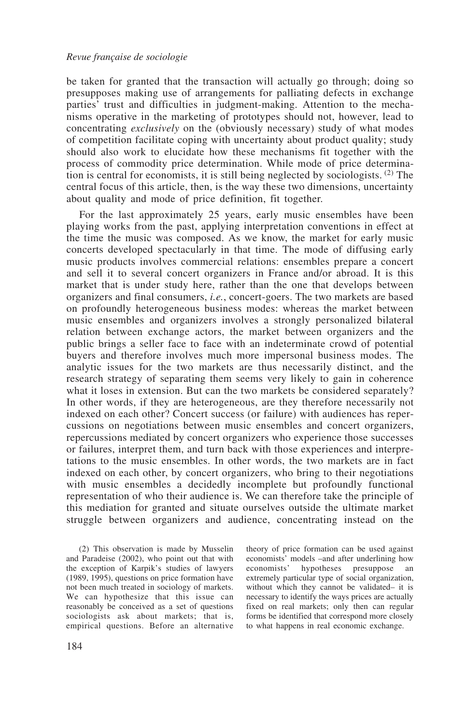be taken for granted that the transaction will actually go through; doing so presupposes making use of arrangements for palliating defects in exchange parties' trust and difficulties in judgment-making. Attention to the mechanisms operative in the marketing of prototypes should not, however, lead to concentrating *exclusively* on the (obviously necessary) study of what modes of competition facilitate coping with uncertainty about product quality; study should also work to elucidate how these mechanisms fit together with the process of commodity price determination. While mode of price determination is central for economists, it is still being neglected by sociologists.  $(2)$  The central focus of this article, then, is the way these two dimensions, uncertainty about quality and mode of price definition, fit together.

For the last approximately 25 years, early music ensembles have been playing works from the past, applying interpretation conventions in effect at the time the music was composed. As we know, the market for early music concerts developed spectacularly in that time. The mode of diffusing early music products involves commercial relations: ensembles prepare a concert and sell it to several concert organizers in France and/or abroad. It is this market that is under study here, rather than the one that develops between organizers and final consumers, *i.e.*, concert-goers. The two markets are based on profoundly heterogeneous business modes: whereas the market between music ensembles and organizers involves a strongly personalized bilateral relation between exchange actors, the market between organizers and the public brings a seller face to face with an indeterminate crowd of potential buyers and therefore involves much more impersonal business modes. The analytic issues for the two markets are thus necessarily distinct, and the research strategy of separating them seems very likely to gain in coherence what it loses in extension. But can the two markets be considered separately? In other words, if they are heterogeneous, are they therefore necessarily not indexed on each other? Concert success (or failure) with audiences has repercussions on negotiations between music ensembles and concert organizers, repercussions mediated by concert organizers who experience those successes or failures, interpret them, and turn back with those experiences and interpretations to the music ensembles. In other words, the two markets are in fact indexed on each other, by concert organizers, who bring to their negotiations with music ensembles a decidedly incomplete but profoundly functional representation of who their audience is. We can therefore take the principle of this mediation for granted and situate ourselves outside the ultimate market struggle between organizers and audience, concentrating instead on the

(2) This observation is made by Musselin and Paradeise (2002), who point out that with the exception of Karpik's studies of lawyers (1989, 1995), questions on price formation have not been much treated in sociology of markets. We can hypothesize that this issue can reasonably be conceived as a set of questions sociologists ask about markets; that is, empirical questions. Before an alternative theory of price formation can be used against economists' models –and after underlining how economists' hypotheses presuppose an extremely particular type of social organization, without which they cannot be validated– it is necessary to identify the ways prices are actually fixed on real markets; only then can regular forms be identified that correspond more closely to what happens in real economic exchange.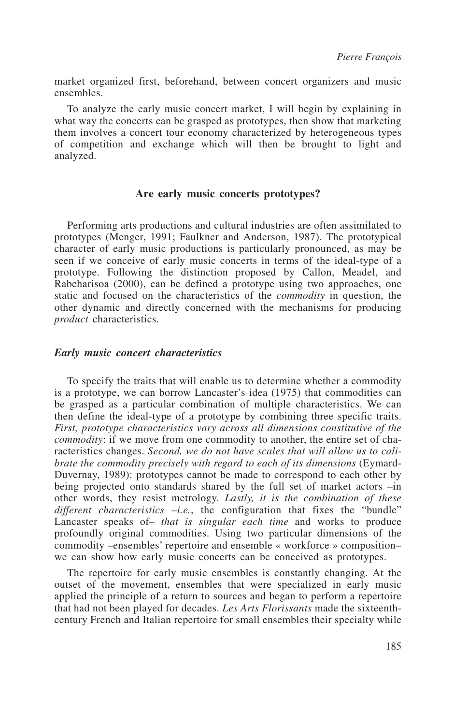market organized first, beforehand, between concert organizers and music ensembles.

To analyze the early music concert market, I will begin by explaining in what way the concerts can be grasped as prototypes, then show that marketing them involves a concert tour economy characterized by heterogeneous types of competition and exchange which will then be brought to light and analyzed.

# **Are early music concerts prototypes?**

Performing arts productions and cultural industries are often assimilated to prototypes (Menger, 1991; Faulkner and Anderson, 1987). The prototypical character of early music productions is particularly pronounced, as may be seen if we conceive of early music concerts in terms of the ideal-type of a prototype. Following the distinction proposed by Callon, Meadel, and Rabeharisoa (2000), can be defined a prototype using two approaches, one static and focused on the characteristics of the *commodity* in question, the other dynamic and directly concerned with the mechanisms for producing *product* characteristics.

## *Early music concert characteristics*

To specify the traits that will enable us to determine whether a commodity is a prototype, we can borrow Lancaster's idea (1975) that commodities can be grasped as a particular combination of multiple characteristics. We can then define the ideal-type of a prototype by combining three specific traits. *First, prototype characteristics vary across all dimensions constitutive of the commodity*: if we move from one commodity to another, the entire set of characteristics changes. *Second, we do not have scales that will allow us to calibrate the commodity precisely with regard to each of its dimensions* (Eymard-Duvernay, 1989): prototypes cannot be made to correspond to each other by being projected onto standards shared by the full set of market actors –in other words, they resist metrology. *Lastly, it is the combination of these different characteristics* –*i.e.*, the configuration that fixes the "bundle" Lancaster speaks of– *that is singular each time* and works to produce profoundly original commodities. Using two particular dimensions of the commodity –ensembles' repertoire and ensemble « workforce » composition– we can show how early music concerts can be conceived as prototypes.

The repertoire for early music ensembles is constantly changing. At the outset of the movement, ensembles that were specialized in early music applied the principle of a return to sources and began to perform a repertoire that had not been played for decades. *Les Arts Florissants* made the sixteenthcentury French and Italian repertoire for small ensembles their specialty while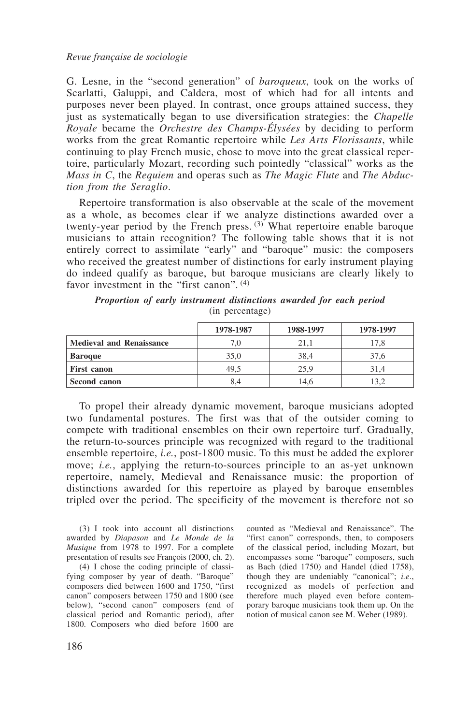G. Lesne, in the "second generation" of *baroqueux*, took on the works of Scarlatti, Galuppi, and Caldera, most of which had for all intents and purposes never been played. In contrast, once groups attained success, they just as systematically began to use diversification strategies: the *Chapelle Royale* became the *Orchestre des Champs-Élysées* by deciding to perform works from the great Romantic repertoire while *Les Arts Florissants*, while continuing to play French music, chose to move into the great classical repertoire, particularly Mozart, recording such pointedly "classical" works as the *Mass in C*, the *Requiem* and operas such as *The Magic Flute* and *The Abduction from the Seraglio*.

Repertoire transformation is also observable at the scale of the movement as a whole, as becomes clear if we analyze distinctions awarded over a twenty-year period by the French press.  $(3)$  What repertoire enable baroque musicians to attain recognition? The following table shows that it is not entirely correct to assimilate "early" and "baroque" music: the composers who received the greatest number of distinctions for early instrument playing do indeed qualify as baroque, but baroque musicians are clearly likely to favor investment in the "first canon". <sup>(4)</sup>

|                                 | 1978-1987 | 1988-1997 | 1978-1997 |
|---------------------------------|-----------|-----------|-----------|
| <b>Medieval and Renaissance</b> | 7.0       | 21.1      | 17.8      |
| <b>Baroque</b>                  | 35.0      | 38.4      | 37.6      |
| <b>First canon</b>              | 49.5      | 25,9      | 31.4      |
| Second canon                    |           | 14.6      |           |

*Proportion of early instrument distinctions awarded for each period* (in percentage)

To propel their already dynamic movement, baroque musicians adopted two fundamental postures. The first was that of the outsider coming to compete with traditional ensembles on their own repertoire turf. Gradually, the return-to-sources principle was recognized with regard to the traditional ensemble repertoire, *i.e.*, post-1800 music. To this must be added the explorer move; *i.e.*, applying the return-to-sources principle to an as-yet unknown repertoire, namely, Medieval and Renaissance music: the proportion of distinctions awarded for this repertoire as played by baroque ensembles tripled over the period. The specificity of the movement is therefore not so

(3) I took into account all distinctions awarded by *Diapason* and *Le Monde de la Musique* from 1978 to 1997. For a complete presentation of results see François (2000, ch. 2).

(4) I chose the coding principle of classifying composer by year of death. "Baroque" composers died between 1600 and 1750, "first canon" composers between 1750 and 1800 (see below), "second canon" composers (end of classical period and Romantic period), after 1800. Composers who died before 1600 are

counted as "Medieval and Renaissance". The "first canon" corresponds, then, to composers of the classical period, including Mozart, but encompasses some "baroque" composers, such as Bach (died 1750) and Handel (died 1758), though they are undeniably "canonical"; *i.e*., recognized as models of perfection and therefore much played even before contemporary baroque musicians took them up. On the notion of musical canon see M. Weber (1989).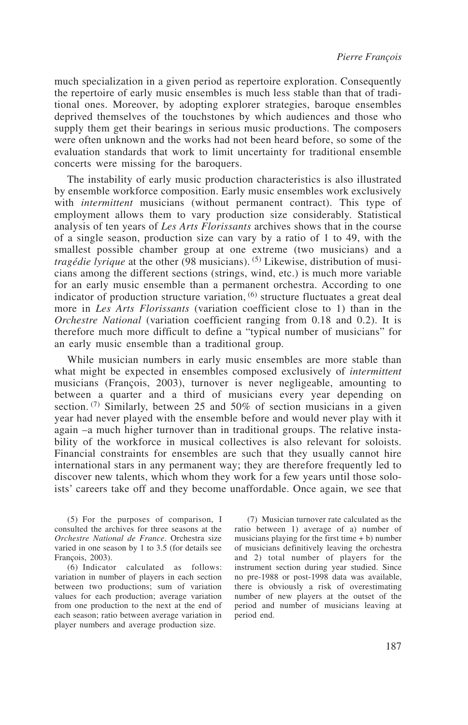much specialization in a given period as repertoire exploration. Consequently the repertoire of early music ensembles is much less stable than that of traditional ones. Moreover, by adopting explorer strategies, baroque ensembles deprived themselves of the touchstones by which audiences and those who supply them get their bearings in serious music productions. The composers were often unknown and the works had not been heard before, so some of the evaluation standards that work to limit uncertainty for traditional ensemble concerts were missing for the baroquers.

The instability of early music production characteristics is also illustrated by ensemble workforce composition. Early music ensembles work exclusively with *intermittent* musicians (without permanent contract). This type of employment allows them to vary production size considerably. Statistical analysis of ten years of *Les Arts Florissants* archives shows that in the course of a single season, production size can vary by a ratio of 1 to 49, with the smallest possible chamber group at one extreme (two musicians) and a *tragédie lyrique* at the other (98 musicians). <sup>(5)</sup> Likewise, distribution of musicians among the different sections (strings, wind, etc.) is much more variable for an early music ensemble than a permanent orchestra. According to one indicator of production structure variation, (6) structure fluctuates a great deal more in *Les Arts Florissants* (variation coefficient close to 1) than in the *Orchestre National* (variation coefficient ranging from 0.18 and 0.2). It is therefore much more difficult to define a "typical number of musicians" for an early music ensemble than a traditional group.

While musician numbers in early music ensembles are more stable than what might be expected in ensembles composed exclusively of *intermittent* musicians (François, 2003), turnover is never negligeable, amounting to between a quarter and a third of musicians every year depending on section. (7) Similarly, between 25 and 50% of section musicians in a given year had never played with the ensemble before and would never play with it again –a much higher turnover than in traditional groups. The relative instability of the workforce in musical collectives is also relevant for soloists. Financial constraints for ensembles are such that they usually cannot hire international stars in any permanent way; they are therefore frequently led to discover new talents, which whom they work for a few years until those soloists' careers take off and they become unaffordable. Once again, we see that

(5) For the purposes of comparison, I consulted the archives for three seasons at the *Orchestre National de France*. Orchestra size varied in one season by 1 to 3.5 (for details see François, 2003).

(6) Indicator calculated as follows: variation in number of players in each section between two productions; sum of variation values for each production; average variation from one production to the next at the end of each season; ratio between average variation in player numbers and average production size.

(7) Musician turnover rate calculated as the ratio between 1) average of a) number of musicians playing for the first time  $+ b$ ) number of musicians definitively leaving the orchestra and 2) total number of players for the instrument section during year studied. Since no pre-1988 or post-1998 data was available, there is obviously a risk of overestimating number of new players at the outset of the period and number of musicians leaving at period end.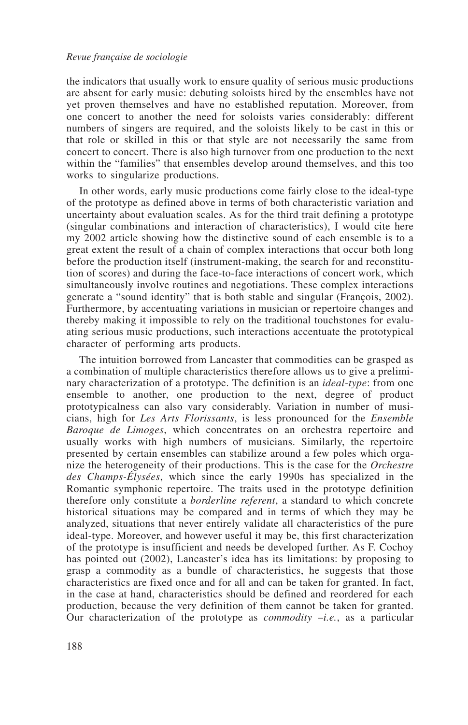#### *Revue française de sociologie*

the indicators that usually work to ensure quality of serious music productions are absent for early music: debuting soloists hired by the ensembles have not yet proven themselves and have no established reputation. Moreover, from one concert to another the need for soloists varies considerably: different numbers of singers are required, and the soloists likely to be cast in this or that role or skilled in this or that style are not necessarily the same from concert to concert. There is also high turnover from one production to the next within the "families" that ensembles develop around themselves, and this too works to singularize productions.

In other words, early music productions come fairly close to the ideal-type of the prototype as defined above in terms of both characteristic variation and uncertainty about evaluation scales. As for the third trait defining a prototype (singular combinations and interaction of characteristics), I would cite here my 2002 article showing how the distinctive sound of each ensemble is to a great extent the result of a chain of complex interactions that occur both long before the production itself (instrument-making, the search for and reconstitution of scores) and during the face-to-face interactions of concert work, which simultaneously involve routines and negotiations. These complex interactions generate a "sound identity" that is both stable and singular (François, 2002). Furthermore, by accentuating variations in musician or repertoire changes and thereby making it impossible to rely on the traditional touchstones for evaluating serious music productions, such interactions accentuate the prototypical character of performing arts products.

The intuition borrowed from Lancaster that commodities can be grasped as a combination of multiple characteristics therefore allows us to give a preliminary characterization of a prototype. The definition is an *ideal-type*: from one ensemble to another, one production to the next, degree of product prototypicalness can also vary considerably. Variation in number of musicians, high for *Les Arts Florissants*, is less pronounced for the *Ensemble Baroque de Limoges*, which concentrates on an orchestra repertoire and usually works with high numbers of musicians. Similarly, the repertoire presented by certain ensembles can stabilize around a few poles which organize the heterogeneity of their productions. This is the case for the *Orchestre des Champs-Élysées*, which since the early 1990s has specialized in the Romantic symphonic repertoire. The traits used in the prototype definition therefore only constitute a *borderline referent*, a standard to which concrete historical situations may be compared and in terms of which they may be analyzed, situations that never entirely validate all characteristics of the pure ideal-type. Moreover, and however useful it may be, this first characterization of the prototype is insufficient and needs be developed further. As F. Cochoy has pointed out (2002), Lancaster's idea has its limitations: by proposing to grasp a commodity as a bundle of characteristics, he suggests that those characteristics are fixed once and for all and can be taken for granted. In fact, in the case at hand, characteristics should be defined and reordered for each production, because the very definition of them cannot be taken for granted. Our characterization of the prototype as *commodity* –*i.e.*, as a particular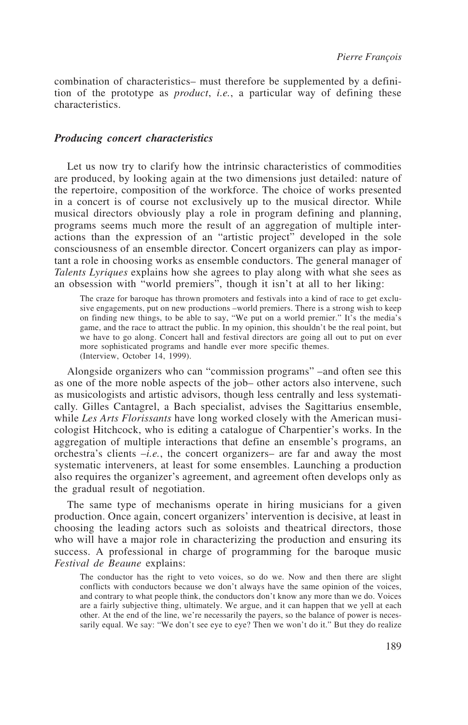combination of characteristics– must therefore be supplemented by a definition of the prototype as *product*, *i.e.*, a particular way of defining these characteristics.

### *Producing concert characteristics*

Let us now try to clarify how the intrinsic characteristics of commodities are produced, by looking again at the two dimensions just detailed: nature of the repertoire, composition of the workforce. The choice of works presented in a concert is of course not exclusively up to the musical director. While musical directors obviously play a role in program defining and planning, programs seems much more the result of an aggregation of multiple interactions than the expression of an "artistic project" developed in the sole consciousness of an ensemble director. Concert organizers can play as important a role in choosing works as ensemble conductors. The general manager of *Talents Lyriques* explains how she agrees to play along with what she sees as an obsession with "world premiers", though it isn't at all to her liking:

The craze for baroque has thrown promoters and festivals into a kind of race to get exclusive engagements, put on new productions –world premiers. There is a strong wish to keep on finding new things, to be able to say, "We put on a world premier." It's the media's game, and the race to attract the public. In my opinion, this shouldn't be the real point, but we have to go along. Concert hall and festival directors are going all out to put on ever more sophisticated programs and handle ever more specific themes. (Interview, October 14, 1999).

Alongside organizers who can "commission programs" –and often see this as one of the more noble aspects of the job– other actors also intervene, such as musicologists and artistic advisors, though less centrally and less systematically. Gilles Cantagrel, a Bach specialist, advises the Sagittarius ensemble, while *Les Arts Florissants* have long worked closely with the American musicologist Hitchcock, who is editing a catalogue of Charpentier's works. In the aggregation of multiple interactions that define an ensemble's programs, an orchestra's clients –*i.e.*, the concert organizers– are far and away the most systematic interveners, at least for some ensembles. Launching a production also requires the organizer's agreement, and agreement often develops only as the gradual result of negotiation.

The same type of mechanisms operate in hiring musicians for a given production. Once again, concert organizers' intervention is decisive, at least in choosing the leading actors such as soloists and theatrical directors, those who will have a major role in characterizing the production and ensuring its success. A professional in charge of programming for the baroque music *Festival de Beaune* explains:

The conductor has the right to veto voices, so do we. Now and then there are slight conflicts with conductors because we don't always have the same opinion of the voices, and contrary to what people think, the conductors don't know any more than we do. Voices are a fairly subjective thing, ultimately. We argue, and it can happen that we yell at each other. At the end of the line, we're necessarily the payers, so the balance of power is necessarily equal. We say: "We don't see eye to eye? Then we won't do it." But they do realize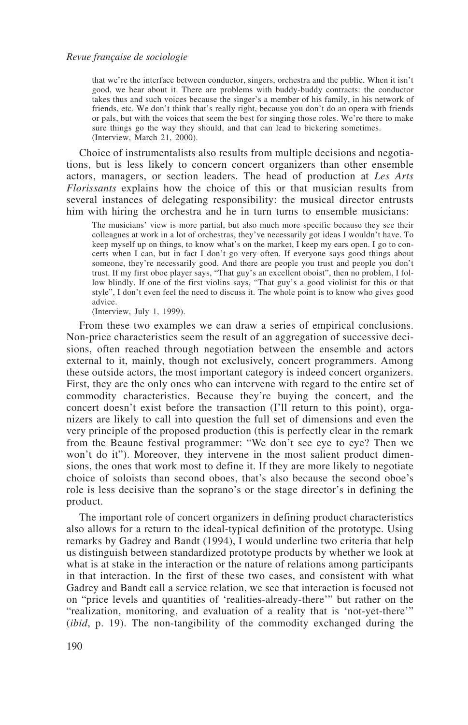that we're the interface between conductor, singers, orchestra and the public. When it isn't good, we hear about it. There are problems with buddy-buddy contracts: the conductor takes thus and such voices because the singer's a member of his family, in his network of friends, etc. We don't think that's really right, because you don't do an opera with friends or pals, but with the voices that seem the best for singing those roles. We're there to make sure things go the way they should, and that can lead to bickering sometimes. (Interview, March 21, 2000).

Choice of instrumentalists also results from multiple decisions and negotiations, but is less likely to concern concert organizers than other ensemble actors, managers, or section leaders. The head of production at *Les Arts Florissants* explains how the choice of this or that musician results from several instances of delegating responsibility: the musical director entrusts him with hiring the orchestra and he in turn turns to ensemble musicians:

The musicians' view is more partial, but also much more specific because they see their colleagues at work in a lot of orchestras, they've necessarily got ideas I wouldn't have. To keep myself up on things, to know what's on the market, I keep my ears open. I go to concerts when I can, but in fact I don't go very often. If everyone says good things about someone, they're necessarily good. And there are people you trust and people you don't trust. If my first oboe player says, "That guy's an excellent oboist", then no problem, I follow blindly. If one of the first violins says, "That guy's a good violinist for this or that style", I don't even feel the need to discuss it. The whole point is to know who gives good advice.

(Interview, July 1, 1999).

From these two examples we can draw a series of empirical conclusions. Non-price characteristics seem the result of an aggregation of successive decisions, often reached through negotiation between the ensemble and actors external to it, mainly, though not exclusively, concert programmers. Among these outside actors, the most important category is indeed concert organizers. First, they are the only ones who can intervene with regard to the entire set of commodity characteristics. Because they're buying the concert, and the concert doesn't exist before the transaction (I'll return to this point), organizers are likely to call into question the full set of dimensions and even the very principle of the proposed production (this is perfectly clear in the remark from the Beaune festival programmer: "We don't see eye to eye? Then we won't do it"). Moreover, they intervene in the most salient product dimensions, the ones that work most to define it. If they are more likely to negotiate choice of soloists than second oboes, that's also because the second oboe's role is less decisive than the soprano's or the stage director's in defining the product.

The important role of concert organizers in defining product characteristics also allows for a return to the ideal-typical definition of the prototype. Using remarks by Gadrey and Bandt (1994), I would underline two criteria that help us distinguish between standardized prototype products by whether we look at what is at stake in the interaction or the nature of relations among participants in that interaction. In the first of these two cases, and consistent with what Gadrey and Bandt call a service relation, we see that interaction is focused not on "price levels and quantities of 'realities-already-there'" but rather on the "realization, monitoring, and evaluation of a reality that is 'not-yet-there'" (*ibid*, p. 19). The non-tangibility of the commodity exchanged during the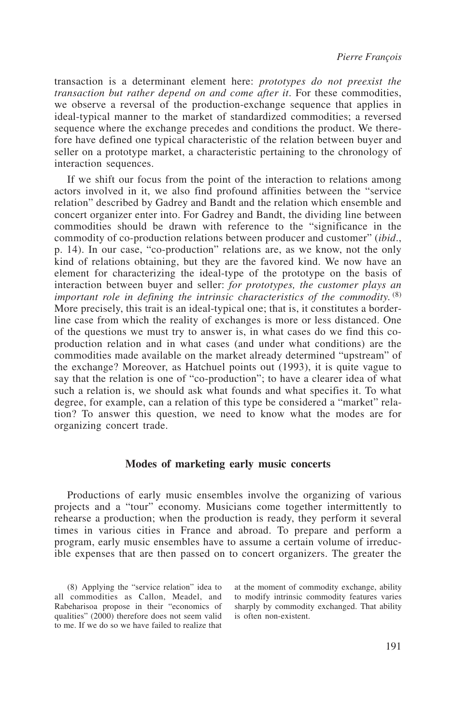transaction is a determinant element here: *prototypes do not preexist the transaction but rather depend on and come after it*. For these commodities, we observe a reversal of the production-exchange sequence that applies in ideal-typical manner to the market of standardized commodities; a reversed sequence where the exchange precedes and conditions the product. We therefore have defined one typical characteristic of the relation between buyer and seller on a prototype market, a characteristic pertaining to the chronology of interaction sequences.

If we shift our focus from the point of the interaction to relations among actors involved in it, we also find profound affinities between the "service relation" described by Gadrey and Bandt and the relation which ensemble and concert organizer enter into. For Gadrey and Bandt, the dividing line between commodities should be drawn with reference to the "significance in the commodity of co-production relations between producer and customer" (*ibid*., p. 14). In our case, "co-production" relations are, as we know, not the only kind of relations obtaining, but they are the favored kind. We now have an element for characterizing the ideal-type of the prototype on the basis of interaction between buyer and seller: *for prototypes, the customer plays an important role in defining the intrinsic characteristics of the commodity*. (8) More precisely, this trait is an ideal-typical one; that is, it constitutes a borderline case from which the reality of exchanges is more or less distanced. One of the questions we must try to answer is, in what cases do we find this coproduction relation and in what cases (and under what conditions) are the commodities made available on the market already determined "upstream" of the exchange? Moreover, as Hatchuel points out (1993), it is quite vague to say that the relation is one of "co-production"; to have a clearer idea of what such a relation is, we should ask what founds and what specifies it. To what degree, for example, can a relation of this type be considered a "market" relation? To answer this question, we need to know what the modes are for organizing concert trade.

## **Modes of marketing early music concerts**

Productions of early music ensembles involve the organizing of various projects and a "tour" economy. Musicians come together intermittently to rehearse a production; when the production is ready, they perform it several times in various cities in France and abroad. To prepare and perform a program, early music ensembles have to assume a certain volume of irreducible expenses that are then passed on to concert organizers. The greater the

at the moment of commodity exchange, ability to modify intrinsic commodity features varies sharply by commodity exchanged. That ability is often non-existent.

<sup>(8)</sup> Applying the "service relation" idea to all commodities as Callon, Meadel, and Rabeharisoa propose in their "economics of qualities" (2000) therefore does not seem valid to me. If we do so we have failed to realize that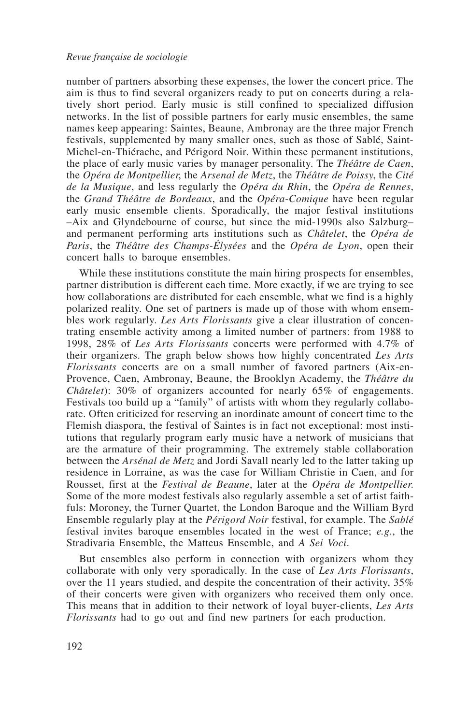number of partners absorbing these expenses, the lower the concert price. The aim is thus to find several organizers ready to put on concerts during a relatively short period. Early music is still confined to specialized diffusion networks. In the list of possible partners for early music ensembles, the same names keep appearing: Saintes, Beaune, Ambronay are the three major French festivals, supplemented by many smaller ones, such as those of Sablé, Saint-Michel-en-Thiérache, and Périgord Noir. Within these permanent institutions, the place of early music varies by manager personality. The *Théâtre de Caen*, the *Opéra de Montpellier*, the *Arsenal de Metz*, the *Théâtre de Poissy*, the *Cité de la Musique*, and less regularly the *Opéra du Rhin*, the *Opéra de Rennes*, the *Grand Théâtre de Bordeaux*, and the *Opéra-Comique* have been regular early music ensemble clients. Sporadically, the major festival institutions –Aix and Glyndebourne of course, but since the mid-1990s also Salzburg– and permanent performing arts institutions such as *Châtelet*, the *Opéra de Paris*, the *Théâtre des Champs-Élysées* and the *Opéra de Lyon*, open their concert halls to baroque ensembles.

While these institutions constitute the main hiring prospects for ensembles, partner distribution is different each time. More exactly, if we are trying to see how collaborations are distributed for each ensemble, what we find is a highly polarized reality. One set of partners is made up of those with whom ensembles work regularly. *Les Arts Florissants* give a clear illustration of concentrating ensemble activity among a limited number of partners: from 1988 to 1998, 28% of *Les Arts Florissants* concerts were performed with 4.7% of their organizers. The graph below shows how highly concentrated *Les Arts Florissants* concerts are on a small number of favored partners (Aix-en-Provence, Caen, Ambronay, Beaune, the Brooklyn Academy, the *Théâtre du Châtelet*): 30% of organizers accounted for nearly 65% of engagements. Festivals too build up a "family" of artists with whom they regularly collaborate. Often criticized for reserving an inordinate amount of concert time to the Flemish diaspora, the festival of Saintes is in fact not exceptional: most institutions that regularly program early music have a network of musicians that are the armature of their programming. The extremely stable collaboration between the *Arsénal de Metz* and Jordi Savall nearly led to the latter taking up residence in Lorraine, as was the case for William Christie in Caen, and for Rousset, first at the *Festival de Beaune*, later at the *Opéra de Montpellier*. Some of the more modest festivals also regularly assemble a set of artist faithfuls: Moroney, the Turner Quartet, the London Baroque and the William Byrd Ensemble regularly play at the *Périgord Noir* festival, for example. The *Sablé* festival invites baroque ensembles located in the west of France; *e.g.*, the Stradivaria Ensemble, the Matteus Ensemble, and *A Sei Voci*.

But ensembles also perform in connection with organizers whom they collaborate with only very sporadically. In the case of *Les Arts Florissants*, over the 11 years studied, and despite the concentration of their activity, 35% of their concerts were given with organizers who received them only once. This means that in addition to their network of loyal buyer-clients, *Les Arts Florissants* had to go out and find new partners for each production.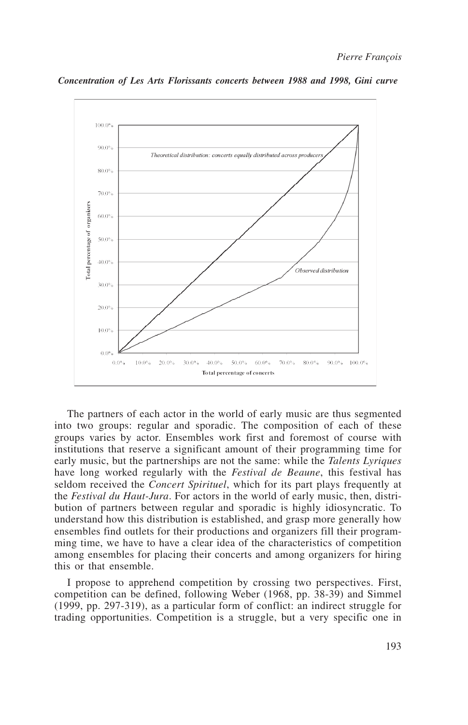

*Concentration of Les Arts Florissants concerts between 1988 and 1998, Gini curve*

The partners of each actor in the world of early music are thus segmented into two groups: regular and sporadic. The composition of each of these groups varies by actor. Ensembles work first and foremost of course with institutions that reserve a significant amount of their programming time for early music, but the partnerships are not the same: while the *Talents Lyriques* have long worked regularly with the *Festival de Beaune*, this festival has seldom received the *Concert Spirituel*, which for its part plays frequently at the *Festival du Haut-Jura*. For actors in the world of early music, then, distribution of partners between regular and sporadic is highly idiosyncratic. To understand how this distribution is established, and grasp more generally how ensembles find outlets for their productions and organizers fill their programming time, we have to have a clear idea of the characteristics of competition among ensembles for placing their concerts and among organizers for hiring this or that ensemble.

I propose to apprehend competition by crossing two perspectives. First, competition can be defined, following Weber (1968, pp. 38-39) and Simmel (1999, pp. 297-319), as a particular form of conflict: an indirect struggle for trading opportunities. Competition is a struggle, but a very specific one in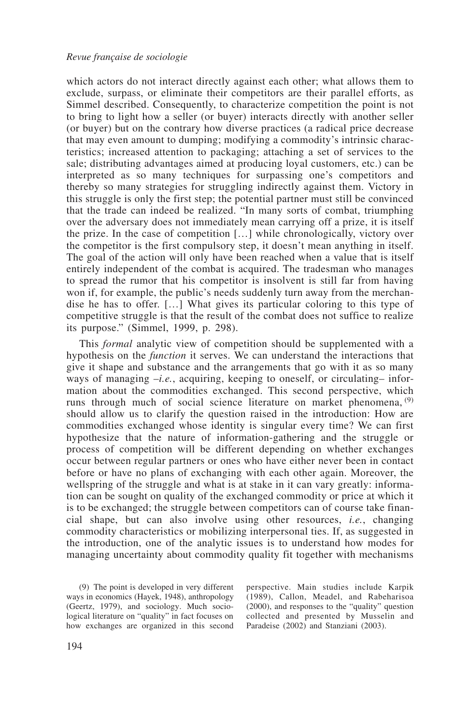which actors do not interact directly against each other; what allows them to exclude, surpass, or eliminate their competitors are their parallel efforts, as Simmel described. Consequently, to characterize competition the point is not to bring to light how a seller (or buyer) interacts directly with another seller (or buyer) but on the contrary how diverse practices (a radical price decrease that may even amount to dumping; modifying a commodity's intrinsic characteristics; increased attention to packaging; attaching a set of services to the sale; distributing advantages aimed at producing loyal customers, etc.) can be interpreted as so many techniques for surpassing one's competitors and thereby so many strategies for struggling indirectly against them. Victory in this struggle is only the first step; the potential partner must still be convinced that the trade can indeed be realized. "In many sorts of combat, triumphing over the adversary does not immediately mean carrying off a prize, it is itself the prize. In the case of competition […] while chronologically, victory over the competitor is the first compulsory step, it doesn't mean anything in itself. The goal of the action will only have been reached when a value that is itself entirely independent of the combat is acquired. The tradesman who manages to spread the rumor that his competitor is insolvent is still far from having won if, for example, the public's needs suddenly turn away from the merchandise he has to offer. […] What gives its particular coloring to this type of competitive struggle is that the result of the combat does not suffice to realize its purpose." (Simmel, 1999, p. 298).

This *formal* analytic view of competition should be supplemented with a hypothesis on the *function* it serves. We can understand the interactions that give it shape and substance and the arrangements that go with it as so many ways of managing  $-i.e.,$  acquiring, keeping to oneself, or circulating– information about the commodities exchanged. This second perspective, which runs through much of social science literature on market phenomena,  $(9)$ should allow us to clarify the question raised in the introduction: How are commodities exchanged whose identity is singular every time? We can first hypothesize that the nature of information-gathering and the struggle or process of competition will be different depending on whether exchanges occur between regular partners or ones who have either never been in contact before or have no plans of exchanging with each other again. Moreover, the wellspring of the struggle and what is at stake in it can vary greatly: information can be sought on quality of the exchanged commodity or price at which it is to be exchanged; the struggle between competitors can of course take financial shape, but can also involve using other resources, *i.e.*, changing commodity characteristics or mobilizing interpersonal ties. If, as suggested in the introduction, one of the analytic issues is to understand how modes for managing uncertainty about commodity quality fit together with mechanisms

(9) The point is developed in very different ways in economics (Hayek, 1948), anthropology (Geertz, 1979), and sociology. Much sociological literature on "quality" in fact focuses on how exchanges are organized in this second perspective. Main studies include Karpik (1989), Callon, Meadel, and Rabeharisoa (2000), and responses to the "quality" question collected and presented by Musselin and Paradeise (2002) and Stanziani (2003).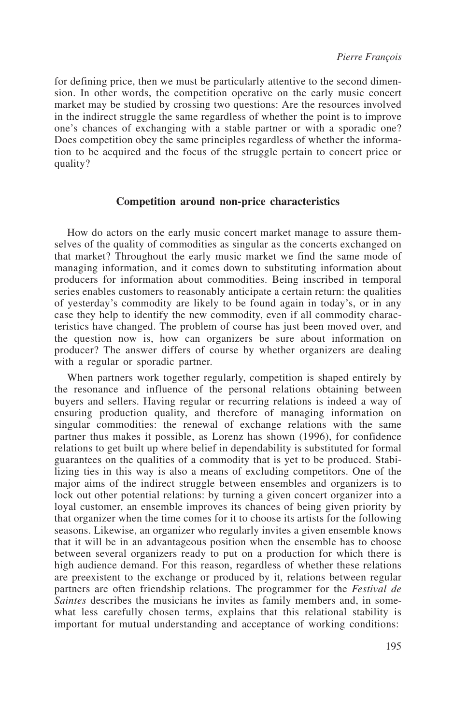for defining price, then we must be particularly attentive to the second dimension. In other words, the competition operative on the early music concert market may be studied by crossing two questions: Are the resources involved in the indirect struggle the same regardless of whether the point is to improve one's chances of exchanging with a stable partner or with a sporadic one? Does competition obey the same principles regardless of whether the information to be acquired and the focus of the struggle pertain to concert price or quality?

## **Competition around non-price characteristics**

How do actors on the early music concert market manage to assure themselves of the quality of commodities as singular as the concerts exchanged on that market? Throughout the early music market we find the same mode of managing information, and it comes down to substituting information about producers for information about commodities. Being inscribed in temporal series enables customers to reasonably anticipate a certain return: the qualities of yesterday's commodity are likely to be found again in today's, or in any case they help to identify the new commodity, even if all commodity characteristics have changed. The problem of course has just been moved over, and the question now is, how can organizers be sure about information on producer? The answer differs of course by whether organizers are dealing with a regular or sporadic partner.

When partners work together regularly, competition is shaped entirely by the resonance and influence of the personal relations obtaining between buyers and sellers. Having regular or recurring relations is indeed a way of ensuring production quality, and therefore of managing information on singular commodities: the renewal of exchange relations with the same partner thus makes it possible, as Lorenz has shown (1996), for confidence relations to get built up where belief in dependability is substituted for formal guarantees on the qualities of a commodity that is yet to be produced. Stabilizing ties in this way is also a means of excluding competitors. One of the major aims of the indirect struggle between ensembles and organizers is to lock out other potential relations: by turning a given concert organizer into a loyal customer, an ensemble improves its chances of being given priority by that organizer when the time comes for it to choose its artists for the following seasons. Likewise, an organizer who regularly invites a given ensemble knows that it will be in an advantageous position when the ensemble has to choose between several organizers ready to put on a production for which there is high audience demand. For this reason, regardless of whether these relations are preexistent to the exchange or produced by it, relations between regular partners are often friendship relations. The programmer for the *Festival de Saintes* describes the musicians he invites as family members and, in somewhat less carefully chosen terms, explains that this relational stability is important for mutual understanding and acceptance of working conditions: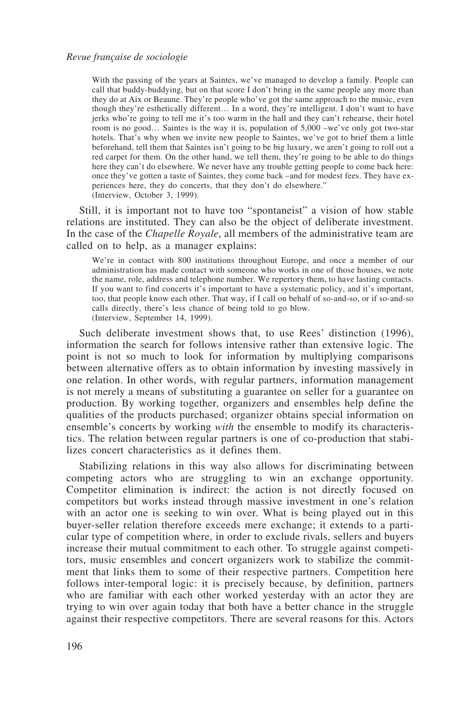With the passing of the years at Saintes, we've managed to develop a family. People can call that buddy-buddying, but on that score I don't bring in the same people any more than they do at Aix or Beaune. They're people who've got the same approach to the music, even though they're esthetically different… In a word, they're intelligent. I don't want to have jerks who're going to tell me it's too warm in the hall and they can't rehearse, their hotel room is no good… Saintes is the way it is, population of 5,000 –we've only got two-star hotels. That's why when we invite new people to Saintes, we've got to brief them a little beforehand, tell them that Saintes isn't going to be big luxury, we aren't going to roll out a red carpet for them. On the other hand, we tell them, they're going to be able to do things here they can't do elsewhere. We never have any trouble getting people to come back here: once they've gotten a taste of Saintes, they come back –and for modest fees. They have experiences here, they do concerts, that they don't do elsewhere." (Interview, October 3, 1999).

Still, it is important not to have too "spontaneist" a vision of how stable relations are instituted. They can also be the object of deliberate investment. In the case of the *Chapelle Royale*, all members of the administrative team are called on to help, as a manager explains:

We're in contact with 800 institutions throughout Europe, and once a member of our administration has made contact with someone who works in one of those houses, we note the name, role, address and telephone number. We repertory them, to have lasting contacts. If you want to find concerts it's important to have a systematic policy, and it's important, too, that people know each other. That way, if I call on behalf of so-and-so, or if so-and-so calls directly, there's less chance of being told to go blow. (Interview, September 14, 1999).

Such deliberate investment shows that, to use Rees' distinction (1996), information the search for follows intensive rather than extensive logic. The point is not so much to look for information by multiplying comparisons between alternative offers as to obtain information by investing massively in one relation. In other words, with regular partners, information management is not merely a means of substituting a guarantee on seller for a guarantee on production. By working together, organizers and ensembles help define the qualities of the products purchased; organizer obtains special information on ensemble's concerts by working *with* the ensemble to modify its characteristics. The relation between regular partners is one of co-production that stabilizes concert characteristics as it defines them.

Stabilizing relations in this way also allows for discriminating between competing actors who are struggling to win an exchange opportunity. Competitor elimination is indirect: the action is not directly focused on competitors but works instead through massive investment in one's relation with an actor one is seeking to win over. What is being played out in this buyer-seller relation therefore exceeds mere exchange; it extends to a particular type of competition where, in order to exclude rivals, sellers and buyers increase their mutual commitment to each other. To struggle against competitors, music ensembles and concert organizers work to stabilize the commitment that links them to some of their respective partners. Competition here follows inter-temporal logic: it is precisely because, by definition, partners who are familiar with each other worked yesterday with an actor they are trying to win over again today that both have a better chance in the struggle against their respective competitors. There are several reasons for this. Actors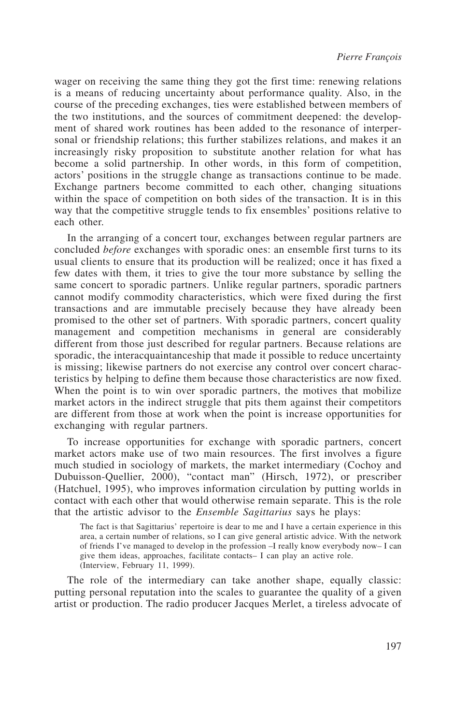wager on receiving the same thing they got the first time: renewing relations is a means of reducing uncertainty about performance quality. Also, in the course of the preceding exchanges, ties were established between members of the two institutions, and the sources of commitment deepened: the development of shared work routines has been added to the resonance of interpersonal or friendship relations; this further stabilizes relations, and makes it an increasingly risky proposition to substitute another relation for what has become a solid partnership. In other words, in this form of competition, actors' positions in the struggle change as transactions continue to be made. Exchange partners become committed to each other, changing situations within the space of competition on both sides of the transaction. It is in this way that the competitive struggle tends to fix ensembles' positions relative to each other.

In the arranging of a concert tour, exchanges between regular partners are concluded *before* exchanges with sporadic ones: an ensemble first turns to its usual clients to ensure that its production will be realized; once it has fixed a few dates with them, it tries to give the tour more substance by selling the same concert to sporadic partners. Unlike regular partners, sporadic partners cannot modify commodity characteristics, which were fixed during the first transactions and are immutable precisely because they have already been promised to the other set of partners. With sporadic partners, concert quality management and competition mechanisms in general are considerably different from those just described for regular partners. Because relations are sporadic, the interacquaintanceship that made it possible to reduce uncertainty is missing; likewise partners do not exercise any control over concert characteristics by helping to define them because those characteristics are now fixed. When the point is to win over sporadic partners, the motives that mobilize market actors in the indirect struggle that pits them against their competitors are different from those at work when the point is increase opportunities for exchanging with regular partners.

To increase opportunities for exchange with sporadic partners, concert market actors make use of two main resources. The first involves a figure much studied in sociology of markets, the market intermediary (Cochoy and Dubuisson-Quellier, 2000), "contact man" (Hirsch, 1972), or prescriber (Hatchuel, 1995), who improves information circulation by putting worlds in contact with each other that would otherwise remain separate. This is the role that the artistic advisor to the *Ensemble Sagittarius* says he plays:

The fact is that Sagittarius' repertoire is dear to me and I have a certain experience in this area, a certain number of relations, so I can give general artistic advice. With the network of friends I've managed to develop in the profession –I really know everybody now– I can give them ideas, approaches, facilitate contacts– I can play an active role. (Interview, February 11, 1999).

The role of the intermediary can take another shape, equally classic: putting personal reputation into the scales to guarantee the quality of a given artist or production. The radio producer Jacques Merlet, a tireless advocate of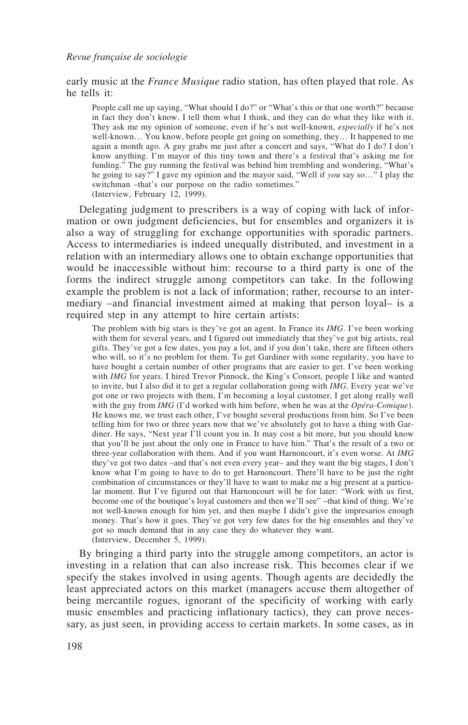early music at the *France Musique* radio station, has often played that role. As he tells it:

People call me up saying, "What should I do?" or "What's this or that one worth?" because in fact they don't know. I tell them what I think, and they can do what they like with it. They ask me my opinion of someone, even if he's not well-known, *especially* if he's not well-known… You know, before people get going on something, they… It happened to me again a month ago. A guy grabs me just after a concert and says, "What do I do? I don't know anything. I'm mayor of this tiny town and there's a festival that's asking me for funding." The guy running the festival was behind him trembling and wondering, "What's he going to say?" I gave my opinion and the mayor said, "Well if *you* say so…" I play the switchman –that's our purpose on the radio sometimes." (Interview, February 12, 1999).

Delegating judgment to prescribers is a way of coping with lack of information or own judgment deficiencies, but for ensembles and organizers it is also a way of struggling for exchange opportunities with sporadic partners. Access to intermediaries is indeed unequally distributed, and investment in a relation with an intermediary allows one to obtain exchange opportunities that would be inaccessible without him: recourse to a third party is one of the forms the indirect struggle among competitors can take. In the following example the problem is not a lack of information; rather, recourse to an intermediary –and financial investment aimed at making that person loyal– is a required step in any attempt to hire certain artists:

The problem with big stars is they've got an agent. In France its *IMG*. I've been working with them for several years, and I figured out immediately that they've got big artists, real gifts. They've got a few dates, you pay a lot, and if you don't take, there are fifteen others who will, so it's no problem for them. To get Gardiner with some regularity, you have to have bought a certain number of other programs that are easier to get. I've been working with *IMG* for years. I hired Trevor Pinnock, the King's Consort, people I like and wanted to invite, but I also did it to get a regular collaboration going with *IMG*. Every year we've got one or two projects with them, I'm becoming a loyal customer, I get along really well with the guy from *IMG* (I'd worked with him before, when he was at the *Opéra-Comique*). He knows me, we trust each other, I've bought several productions from him. So I've been telling him for two or three years now that we've absolutely got to have a thing with Gardiner. He says, "Next year I'll count you in. It may cost a bit more, but you should know that you'll be just about the only one in France to have him." That's the result of a two or three-year collaboration with them. And if you want Harnoncourt, it's even worse. At *IMG* they've got two dates –and that's not even every year– and they want the big stages, I don't know what I'm going to have to do to get Harnoncourt. There'll have to be just the right combination of circumstances or they'll have to want to make me a big present at a particular moment. But I've figured out that Harnoncourt will be for later: "Work with us first, become one of the boutique's loyal customers and then we'll see" –that kind of thing. We're not well-known enough for him yet, and then maybe I didn't give the impresarios enough money. That's how it goes. They've got very few dates for the big ensembles and they've got so much demand that in any case they do whatever they want. (Interview, December 5, 1999).

By bringing a third party into the struggle among competitors, an actor is investing in a relation that can also increase risk. This becomes clear if we specify the stakes involved in using agents. Though agents are decidedly the least appreciated actors on this market (managers accuse them altogether of being mercantile rogues, ignorant of the specificity of working with early music ensembles and practicing inflationary tactics), they can prove necessary, as just seen, in providing access to certain markets. In some cases, as in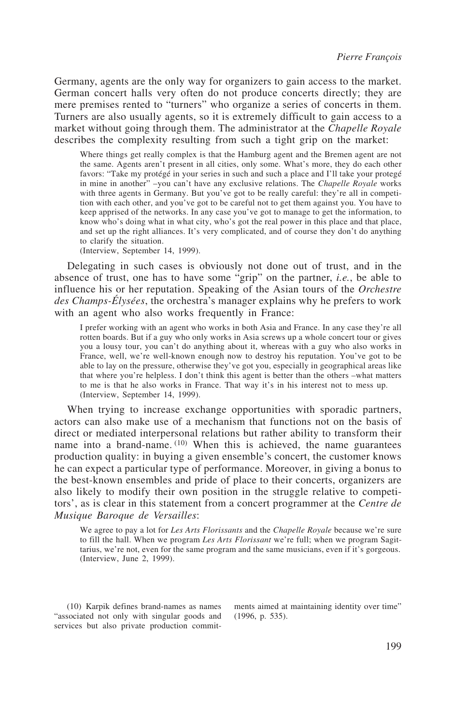Germany, agents are the only way for organizers to gain access to the market. German concert halls very often do not produce concerts directly; they are mere premises rented to "turners" who organize a series of concerts in them. Turners are also usually agents, so it is extremely difficult to gain access to a market without going through them. The administrator at the *Chapelle Royale* describes the complexity resulting from such a tight grip on the market:

Where things get really complex is that the Hamburg agent and the Bremen agent are not the same. Agents aren't present in all cities, only some. What's more, they do each other favors: "Take my protégé in your series in such and such a place and I'll take your protegé in mine in another" –you can't have any exclusive relations. The *Chapelle Royale* works with three agents in Germany. But you've got to be really careful: they're all in competition with each other, and you've got to be careful not to get them against you. You have to keep apprised of the networks. In any case you've got to manage to get the information, to know who's doing what in what city, who's got the real power in this place and that place, and set up the right alliances. It's very complicated, and of course they don't do anything to clarify the situation.

(Interview, September 14, 1999).

Delegating in such cases is obviously not done out of trust, and in the absence of trust, one has to have some "grip" on the partner, *i.e.*, be able to influence his or her reputation. Speaking of the Asian tours of the *Orchestre des Champs-Élysées*, the orchestra's manager explains why he prefers to work with an agent who also works frequently in France:

I prefer working with an agent who works in both Asia and France. In any case they're all rotten boards. But if a guy who only works in Asia screws up a whole concert tour or gives you a lousy tour, you can't do anything about it, whereas with a guy who also works in France, well, we're well-known enough now to destroy his reputation. You've got to be able to lay on the pressure, otherwise they've got you, especially in geographical areas like that where you're helpless. I don't think this agent is better than the others –what matters to me is that he also works in France. That way it's in his interest not to mess up. (Interview, September 14, 1999).

When trying to increase exchange opportunities with sporadic partners, actors can also make use of a mechanism that functions not on the basis of direct or mediated interpersonal relations but rather ability to transform their name into a brand-name. (10) When this is achieved, the name guarantees production quality: in buying a given ensemble's concert, the customer knows he can expect a particular type of performance. Moreover, in giving a bonus to the best-known ensembles and pride of place to their concerts, organizers are also likely to modify their own position in the struggle relative to competitors', as is clear in this statement from a concert programmer at the *Centre de Musique Baroque de Versailles*:

We agree to pay a lot for *Les Arts Florissants* and the *Chapelle Royale* because we're sure to fill the hall. When we program *Les Arts Florissant* we're full; when we program Sagittarius, we're not, even for the same program and the same musicians, even if it's gorgeous. (Interview, June 2, 1999).

(10) Karpik defines brand-names as names "associated not only with singular goods and services but also private production commitments aimed at maintaining identity over time" (1996, p. 535).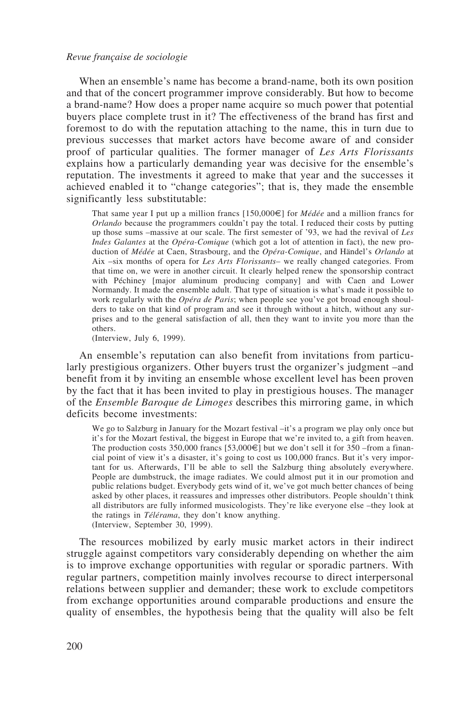### *Revue française de sociologie*

When an ensemble's name has become a brand-name, both its own position and that of the concert programmer improve considerably. But how to become a brand-name? How does a proper name acquire so much power that potential buyers place complete trust in it? The effectiveness of the brand has first and foremost to do with the reputation attaching to the name, this in turn due to previous successes that market actors have become aware of and consider proof of particular qualities. The former manager of *Les Arts Florissants* explains how a particularly demanding year was decisive for the ensemble's reputation. The investments it agreed to make that year and the successes it achieved enabled it to "change categories"; that is, they made the ensemble significantly less substitutable:

That same year I put up a million francs [150,000€] for *Médée* and a million francs for *Orlando* because the programmers couldn't pay the total. I reduced their costs by putting up those sums –massive at our scale. The first semester of '93, we had the revival of *Les Indes Galantes* at the *Opéra-Comique* (which got a lot of attention in fact), the new production of *Médée* at Caen, Strasbourg, and the *Opéra-Comique*, and Händel's *Orlando* at Aix –six months of opera for *Les Arts Florissants*– we really changed categories. From that time on, we were in another circuit. It clearly helped renew the sponsorship contract with Péchiney [major aluminum producing company] and with Caen and Lower Normandy. It made the ensemble adult. That type of situation is what's made it possible to work regularly with the *Opéra de Paris*; when people see you've got broad enough shoulders to take on that kind of program and see it through without a hitch, without any surprises and to the general satisfaction of all, then they want to invite you more than the others.

(Interview, July 6, 1999).

An ensemble's reputation can also benefit from invitations from particularly prestigious organizers. Other buyers trust the organizer's judgment –and benefit from it by inviting an ensemble whose excellent level has been proven by the fact that it has been invited to play in prestigious houses. The manager of the *Ensemble Baroque de Limoges* describes this mirroring game, in which deficits become investments:

We go to Salzburg in January for the Mozart festival  $-it$ 's a program we play only once but it's for the Mozart festival, the biggest in Europe that we're invited to, a gift from heaven. The production costs 350,000 francs  $[53,000 \in ]$  but we don't sell it for 350 –from a financial point of view it's a disaster, it's going to cost us 100,000 francs. But it's very important for us. Afterwards, I'll be able to sell the Salzburg thing absolutely everywhere. People are dumbstruck, the image radiates. We could almost put it in our promotion and public relations budget. Everybody gets wind of it, we've got much better chances of being asked by other places, it reassures and impresses other distributors. People shouldn't think all distributors are fully informed musicologists. They're like everyone else –they look at the ratings in *Télérama*, they don't know anything. (Interview, September 30, 1999).

The resources mobilized by early music market actors in their indirect struggle against competitors vary considerably depending on whether the aim is to improve exchange opportunities with regular or sporadic partners. With regular partners, competition mainly involves recourse to direct interpersonal relations between supplier and demander; these work to exclude competitors from exchange opportunities around comparable productions and ensure the quality of ensembles, the hypothesis being that the quality will also be felt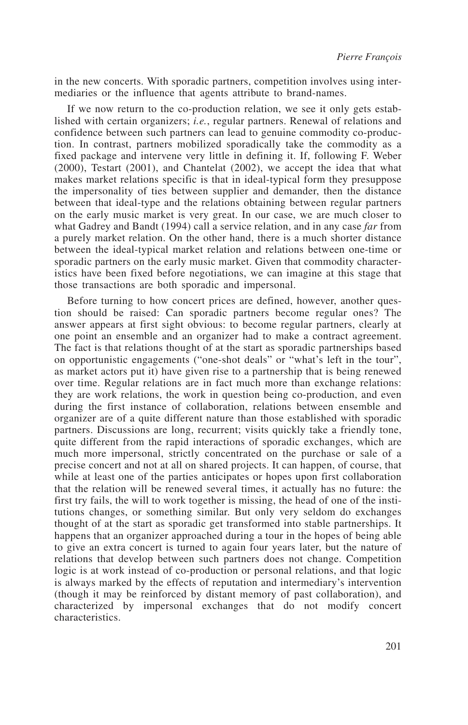in the new concerts. With sporadic partners, competition involves using intermediaries or the influence that agents attribute to brand-names.

If we now return to the co-production relation, we see it only gets established with certain organizers; *i.e.*, regular partners. Renewal of relations and confidence between such partners can lead to genuine commodity co-production. In contrast, partners mobilized sporadically take the commodity as a fixed package and intervene very little in defining it. If, following F. Weber (2000), Testart (2001), and Chantelat (2002), we accept the idea that what makes market relations specific is that in ideal-typical form they presuppose the impersonality of ties between supplier and demander, then the distance between that ideal-type and the relations obtaining between regular partners on the early music market is very great. In our case, we are much closer to what Gadrey and Bandt (1994) call a service relation, and in any case *far* from a purely market relation. On the other hand, there is a much shorter distance between the ideal-typical market relation and relations between one-time or sporadic partners on the early music market. Given that commodity characteristics have been fixed before negotiations, we can imagine at this stage that those transactions are both sporadic and impersonal.

Before turning to how concert prices are defined, however, another question should be raised: Can sporadic partners become regular ones? The answer appears at first sight obvious: to become regular partners, clearly at one point an ensemble and an organizer had to make a contract agreement. The fact is that relations thought of at the start as sporadic partnerships based on opportunistic engagements ("one-shot deals" or "what's left in the tour", as market actors put it) have given rise to a partnership that is being renewed over time. Regular relations are in fact much more than exchange relations: they are work relations, the work in question being co-production, and even during the first instance of collaboration, relations between ensemble and organizer are of a quite different nature than those established with sporadic partners. Discussions are long, recurrent; visits quickly take a friendly tone, quite different from the rapid interactions of sporadic exchanges, which are much more impersonal, strictly concentrated on the purchase or sale of a precise concert and not at all on shared projects. It can happen, of course, that while at least one of the parties anticipates or hopes upon first collaboration that the relation will be renewed several times, it actually has no future: the first try fails, the will to work together is missing, the head of one of the institutions changes, or something similar. But only very seldom do exchanges thought of at the start as sporadic get transformed into stable partnerships. It happens that an organizer approached during a tour in the hopes of being able to give an extra concert is turned to again four years later, but the nature of relations that develop between such partners does not change. Competition logic is at work instead of co-production or personal relations, and that logic is always marked by the effects of reputation and intermediary's intervention (though it may be reinforced by distant memory of past collaboration), and characterized by impersonal exchanges that do not modify concert characteristics.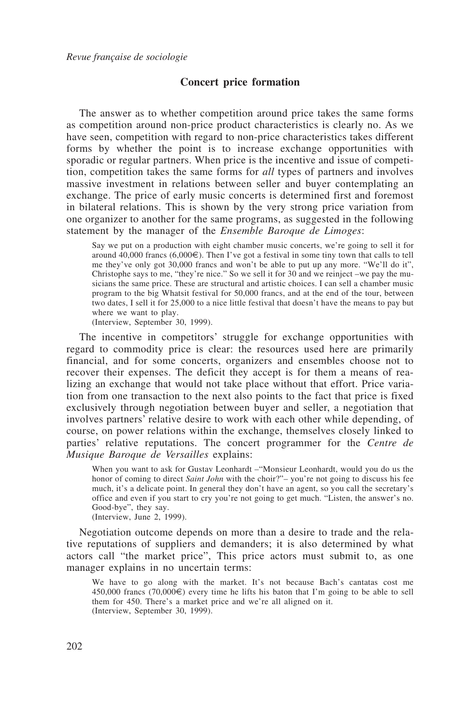## **Concert price formation**

The answer as to whether competition around price takes the same forms as competition around non-price product characteristics is clearly no. As we have seen, competition with regard to non-price characteristics takes different forms by whether the point is to increase exchange opportunities with sporadic or regular partners. When price is the incentive and issue of competition, competition takes the same forms for *all* types of partners and involves massive investment in relations between seller and buyer contemplating an exchange. The price of early music concerts is determined first and foremost in bilateral relations. This is shown by the very strong price variation from one organizer to another for the same programs, as suggested in the following statement by the manager of the *Ensemble Baroque de Limoges*:

Say we put on a production with eight chamber music concerts, we're going to sell it for around  $40,000$  francs  $(6,000)$ . Then I've got a festival in some tiny town that calls to tell me they've only got 30,000 francs and won't be able to put up any more. "We'll do it", Christophe says to me, "they're nice." So we sell it for 30 and we reinject –we pay the musicians the same price. These are structural and artistic choices. I can sell a chamber music program to the big Whatsit festival for 50,000 francs, and at the end of the tour, between two dates, I sell it for 25,000 to a nice little festival that doesn't have the means to pay but where we want to play.

(Interview, September 30, 1999).

The incentive in competitors' struggle for exchange opportunities with regard to commodity price is clear: the resources used here are primarily financial, and for some concerts, organizers and ensembles choose not to recover their expenses. The deficit they accept is for them a means of realizing an exchange that would not take place without that effort. Price variation from one transaction to the next also points to the fact that price is fixed exclusively through negotiation between buyer and seller, a negotiation that involves partners' relative desire to work with each other while depending, of course, on power relations within the exchange, themselves closely linked to parties' relative reputations. The concert programmer for the *Centre de Musique Baroque de Versailles* explains:

When you want to ask for Gustav Leonhardt –"Monsieur Leonhardt, would you do us the honor of coming to direct *Saint John* with the choir?"– you're not going to discuss his fee much, it's a delicate point. In general they don't have an agent, so you call the secretary's office and even if you start to cry you're not going to get much. "Listen, the answer's no. Good-bye", they say.

(Interview, June 2, 1999).

Negotiation outcome depends on more than a desire to trade and the relative reputations of suppliers and demanders; it is also determined by what actors call "the market price", This price actors must submit to, as one manager explains in no uncertain terms:

We have to go along with the market. It's not because Bach's cantatas cost me 450,000 francs (70,000 $\in$ ) every time he lifts his baton that I'm going to be able to sell them for 450. There's a market price and we're all aligned on it. (Interview, September 30, 1999).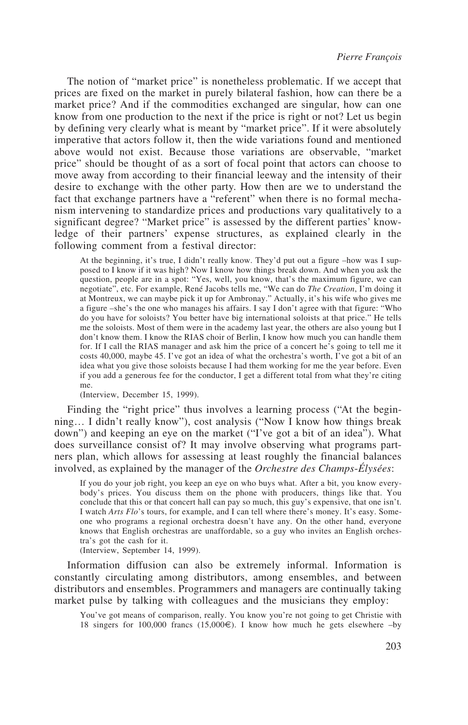The notion of "market price" is nonetheless problematic. If we accept that prices are fixed on the market in purely bilateral fashion, how can there be a market price? And if the commodities exchanged are singular, how can one know from one production to the next if the price is right or not? Let us begin by defining very clearly what is meant by "market price". If it were absolutely imperative that actors follow it, then the wide variations found and mentioned above would not exist. Because those variations are observable, "market price" should be thought of as a sort of focal point that actors can choose to move away from according to their financial leeway and the intensity of their desire to exchange with the other party. How then are we to understand the fact that exchange partners have a "referent" when there is no formal mechanism intervening to standardize prices and productions vary qualitatively to a significant degree? "Market price" is assessed by the different parties' knowledge of their partners' expense structures, as explained clearly in the following comment from a festival director:

At the beginning, it's true, I didn't really know. They'd put out a figure –how was I supposed to I know if it was high? Now I know how things break down. And when you ask the question, people are in a spot: "Yes, well, you know, that's the maximum figure, we can negotiate", etc. For example, René Jacobs tells me, "We can do *The Creation*, I'm doing it at Montreux, we can maybe pick it up for Ambronay." Actually, it's his wife who gives me a figure –she's the one who manages his affairs. I say I don't agree with that figure: "Who do you have for soloists? You better have big international soloists at that price." He tells me the soloists. Most of them were in the academy last year, the others are also young but I don't know them. I know the RIAS choir of Berlin, I know how much you can handle them for. If I call the RIAS manager and ask him the price of a concert he's going to tell me it costs 40,000, maybe 45. I've got an idea of what the orchestra's worth, I've got a bit of an idea what you give those soloists because I had them working for me the year before. Even if you add a generous fee for the conductor, I get a different total from what they're citing me.

(Interview, December 15, 1999).

Finding the "right price" thus involves a learning process ("At the beginning… I didn't really know"), cost analysis ("Now I know how things break down") and keeping an eye on the market ("I've got a bit of an idea"). What does surveillance consist of? It may involve observing what programs partners plan, which allows for assessing at least roughly the financial balances involved, as explained by the manager of the *Orchestre des Champs*-*Élysées*:

If you do your job right, you keep an eye on who buys what. After a bit, you know everybody's prices. You discuss them on the phone with producers, things like that. You conclude that this or that concert hall can pay so much, this guy's expensive, that one isn't. I watch *Arts Flo*'s tours, for example, and I can tell where there's money. It's easy. Someone who programs a regional orchestra doesn't have any. On the other hand, everyone knows that English orchestras are unaffordable, so a guy who invites an English orchestra's got the cash for it.

(Interview, September 14, 1999).

Information diffusion can also be extremely informal. Information is constantly circulating among distributors, among ensembles, and between distributors and ensembles. Programmers and managers are continually taking market pulse by talking with colleagues and the musicians they employ:

You've got means of comparison, really. You know you're not going to get Christie with 18 singers for 100,000 francs (15,000€). I know how much he gets elsewhere –by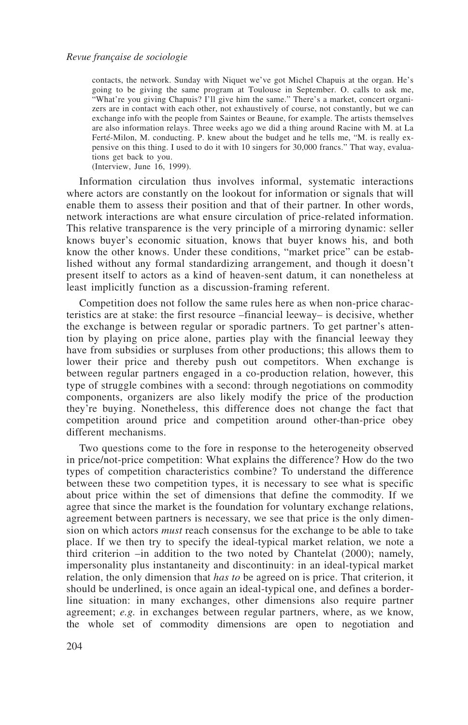contacts, the network. Sunday with Niquet we've got Michel Chapuis at the organ. He's going to be giving the same program at Toulouse in September. O. calls to ask me, "What're you giving Chapuis? I'll give him the same." There's a market, concert organizers are in contact with each other, not exhaustively of course, not constantly, but we can exchange info with the people from Saintes or Beaune, for example. The artists themselves are also information relays. Three weeks ago we did a thing around Racine with M. at La Ferté-Milon, M. conducting. P. knew about the budget and he tells me, "M. is really expensive on this thing. I used to do it with 10 singers for 30,000 francs." That way, evaluations get back to you.

(Interview, June 16, 1999).

Information circulation thus involves informal, systematic interactions where actors are constantly on the lookout for information or signals that will enable them to assess their position and that of their partner. In other words, network interactions are what ensure circulation of price-related information. This relative transparence is the very principle of a mirroring dynamic: seller knows buyer's economic situation, knows that buyer knows his, and both know the other knows. Under these conditions, "market price" can be established without any formal standardizing arrangement, and though it doesn't present itself to actors as a kind of heaven-sent datum, it can nonetheless at least implicitly function as a discussion-framing referent.

Competition does not follow the same rules here as when non-price characteristics are at stake: the first resource –financial leeway– is decisive, whether the exchange is between regular or sporadic partners. To get partner's attention by playing on price alone, parties play with the financial leeway they have from subsidies or surpluses from other productions; this allows them to lower their price and thereby push out competitors. When exchange is between regular partners engaged in a co-production relation, however, this type of struggle combines with a second: through negotiations on commodity components, organizers are also likely modify the price of the production they're buying. Nonetheless, this difference does not change the fact that competition around price and competition around other-than-price obey different mechanisms.

Two questions come to the fore in response to the heterogeneity observed in price/not-price competition: What explains the difference? How do the two types of competition characteristics combine? To understand the difference between these two competition types, it is necessary to see what is specific about price within the set of dimensions that define the commodity. If we agree that since the market is the foundation for voluntary exchange relations, agreement between partners is necessary, we see that price is the only dimension on which actors *must* reach consensus for the exchange to be able to take place. If we then try to specify the ideal-typical market relation, we note a third criterion –in addition to the two noted by Chantelat (2000); namely, impersonality plus instantaneity and discontinuity: in an ideal-typical market relation, the only dimension that *has to* be agreed on is price. That criterion, it should be underlined, is once again an ideal-typical one, and defines a borderline situation: in many exchanges, other dimensions also require partner agreement; *e.g.* in exchanges between regular partners, where, as we know, the whole set of commodity dimensions are open to negotiation and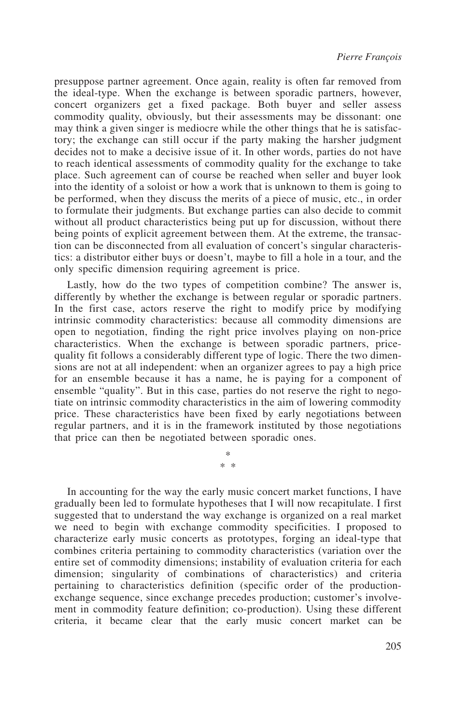presuppose partner agreement. Once again, reality is often far removed from the ideal-type. When the exchange is between sporadic partners, however, concert organizers get a fixed package. Both buyer and seller assess commodity quality, obviously, but their assessments may be dissonant: one may think a given singer is mediocre while the other things that he is satisfactory; the exchange can still occur if the party making the harsher judgment decides not to make a decisive issue of it. In other words, parties do not have to reach identical assessments of commodity quality for the exchange to take place. Such agreement can of course be reached when seller and buyer look into the identity of a soloist or how a work that is unknown to them is going to be performed, when they discuss the merits of a piece of music, etc., in order to formulate their judgments. But exchange parties can also decide to commit without all product characteristics being put up for discussion, without there being points of explicit agreement between them. At the extreme, the transaction can be disconnected from all evaluation of concert's singular characteristics: a distributor either buys or doesn't, maybe to fill a hole in a tour, and the only specific dimension requiring agreement is price.

Lastly, how do the two types of competition combine? The answer is, differently by whether the exchange is between regular or sporadic partners. In the first case, actors reserve the right to modify price by modifying intrinsic commodity characteristics: because all commodity dimensions are open to negotiation, finding the right price involves playing on non-price characteristics. When the exchange is between sporadic partners, pricequality fit follows a considerably different type of logic. There the two dimensions are not at all independent: when an organizer agrees to pay a high price for an ensemble because it has a name, he is paying for a component of ensemble "quality". But in this case, parties do not reserve the right to negotiate on intrinsic commodity characteristics in the aim of lowering commodity price. These characteristics have been fixed by early negotiations between regular partners, and it is in the framework instituted by those negotiations that price can then be negotiated between sporadic ones.

> \* \* \*

In accounting for the way the early music concert market functions, I have gradually been led to formulate hypotheses that I will now recapitulate. I first suggested that to understand the way exchange is organized on a real market we need to begin with exchange commodity specificities. I proposed to characterize early music concerts as prototypes, forging an ideal-type that combines criteria pertaining to commodity characteristics (variation over the entire set of commodity dimensions; instability of evaluation criteria for each dimension; singularity of combinations of characteristics) and criteria pertaining to characteristics definition (specific order of the productionexchange sequence, since exchange precedes production; customer's involvement in commodity feature definition; co-production). Using these different criteria, it became clear that the early music concert market can be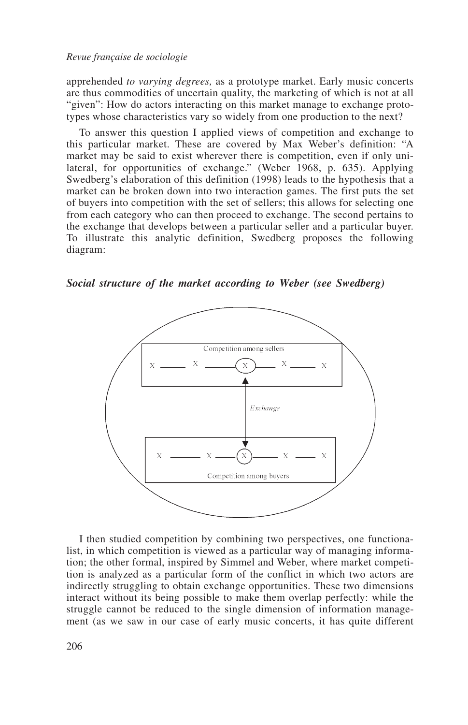apprehended *to varying degrees,* as a prototype market. Early music concerts are thus commodities of uncertain quality, the marketing of which is not at all "given": How do actors interacting on this market manage to exchange prototypes whose characteristics vary so widely from one production to the next?

To answer this question I applied views of competition and exchange to this particular market. These are covered by Max Weber's definition: "A market may be said to exist wherever there is competition, even if only unilateral, for opportunities of exchange." (Weber 1968, p. 635). Applying Swedberg's elaboration of this definition (1998) leads to the hypothesis that a market can be broken down into two interaction games. The first puts the set of buyers into competition with the set of sellers; this allows for selecting one from each category who can then proceed to exchange. The second pertains to the exchange that develops between a particular seller and a particular buyer. To illustrate this analytic definition, Swedberg proposes the following diagram:

*Social structure of the market according to Weber (see Swedberg)*



I then studied competition by combining two perspectives, one functionalist, in which competition is viewed as a particular way of managing information; the other formal, inspired by Simmel and Weber, where market competition is analyzed as a particular form of the conflict in which two actors are indirectly struggling to obtain exchange opportunities. These two dimensions interact without its being possible to make them overlap perfectly: while the struggle cannot be reduced to the single dimension of information management (as we saw in our case of early music concerts, it has quite different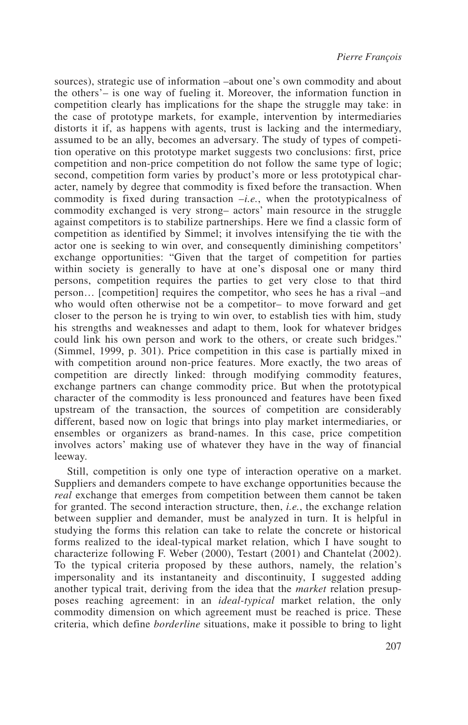sources), strategic use of information –about one's own commodity and about the others'– is one way of fueling it. Moreover, the information function in competition clearly has implications for the shape the struggle may take: in the case of prototype markets, for example, intervention by intermediaries distorts it if, as happens with agents, trust is lacking and the intermediary, assumed to be an ally, becomes an adversary. The study of types of competition operative on this prototype market suggests two conclusions: first, price competition and non-price competition do not follow the same type of logic; second, competition form varies by product's more or less prototypical character, namely by degree that commodity is fixed before the transaction. When commodity is fixed during transaction –*i.e.*, when the prototypicalness of commodity exchanged is very strong– actors' main resource in the struggle against competitors is to stabilize partnerships. Here we find a classic form of competition as identified by Simmel; it involves intensifying the tie with the actor one is seeking to win over, and consequently diminishing competitors' exchange opportunities: "Given that the target of competition for parties within society is generally to have at one's disposal one or many third persons, competition requires the parties to get very close to that third person… [competition] requires the competitor, who sees he has a rival –and who would often otherwise not be a competitor- to move forward and get closer to the person he is trying to win over, to establish ties with him, study his strengths and weaknesses and adapt to them, look for whatever bridges could link his own person and work to the others, or create such bridges." (Simmel, 1999, p. 301). Price competition in this case is partially mixed in with competition around non-price features. More exactly, the two areas of competition are directly linked: through modifying commodity features, exchange partners can change commodity price. But when the prototypical character of the commodity is less pronounced and features have been fixed upstream of the transaction, the sources of competition are considerably different, based now on logic that brings into play market intermediaries, or ensembles or organizers as brand-names. In this case, price competition involves actors' making use of whatever they have in the way of financial leeway.

Still, competition is only one type of interaction operative on a market. Suppliers and demanders compete to have exchange opportunities because the *real* exchange that emerges from competition between them cannot be taken for granted. The second interaction structure, then, *i.e.*, the exchange relation between supplier and demander, must be analyzed in turn. It is helpful in studying the forms this relation can take to relate the concrete or historical forms realized to the ideal-typical market relation, which I have sought to characterize following F. Weber (2000), Testart (2001) and Chantelat (2002). To the typical criteria proposed by these authors, namely, the relation's impersonality and its instantaneity and discontinuity, I suggested adding another typical trait, deriving from the idea that the *market* relation presupposes reaching agreement: in an *ideal-typical* market relation, the only commodity dimension on which agreement must be reached is price. These criteria, which define *borderline* situations, make it possible to bring to light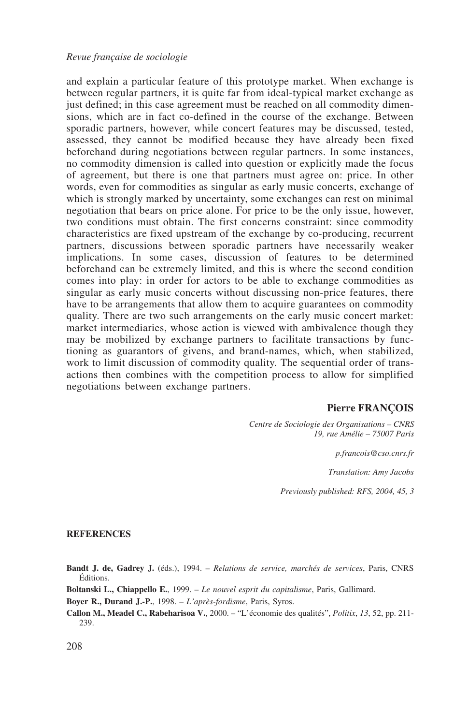#### *Revue française de sociologie*

and explain a particular feature of this prototype market. When exchange is between regular partners, it is quite far from ideal-typical market exchange as just defined; in this case agreement must be reached on all commodity dimensions, which are in fact co-defined in the course of the exchange. Between sporadic partners, however, while concert features may be discussed, tested, assessed, they cannot be modified because they have already been fixed beforehand during negotiations between regular partners. In some instances, no commodity dimension is called into question or explicitly made the focus of agreement, but there is one that partners must agree on: price. In other words, even for commodities as singular as early music concerts, exchange of which is strongly marked by uncertainty, some exchanges can rest on minimal negotiation that bears on price alone. For price to be the only issue, however, two conditions must obtain. The first concerns constraint: since commodity characteristics are fixed upstream of the exchange by co-producing, recurrent partners, discussions between sporadic partners have necessarily weaker implications. In some cases, discussion of features to be determined beforehand can be extremely limited, and this is where the second condition comes into play: in order for actors to be able to exchange commodities as singular as early music concerts without discussing non-price features, there have to be arrangements that allow them to acquire guarantees on commodity quality. There are two such arrangements on the early music concert market: market intermediaries, whose action is viewed with ambivalence though they may be mobilized by exchange partners to facilitate transactions by functioning as guarantors of givens, and brand-names, which, when stabilized, work to limit discussion of commodity quality. The sequential order of transactions then combines with the competition process to allow for simplified negotiations between exchange partners.

# **Pierre FRANÇOIS**

*Centre de Sociologie des Organisations – CNRS 19, rue Amélie – 75007 Paris*

*p.francois@cso.cnrs.fr*

*Translation: Amy Jacobs*

*Previously published: RFS, 2004, 45, 3*

#### **REFERENCES**

**Bandt J. de, Gadrey J.** (éds.), 1994. – *Relations de service, marchés de services*, Paris, CNRS Éditions.

- **Boltanski L., Chiappello E.**, 1999. *Le nouvel esprit du capitalisme*, Paris, Gallimard.
- **Boyer R., Durand J.-P.**, 1998. *L'après-fordisme*, Paris, Syros.

**Callon M., Meadel C., Rabeharisoa V.**, 2000. – "L'économie des qualités", *Politix*, *13*, 52, pp. 211- 239.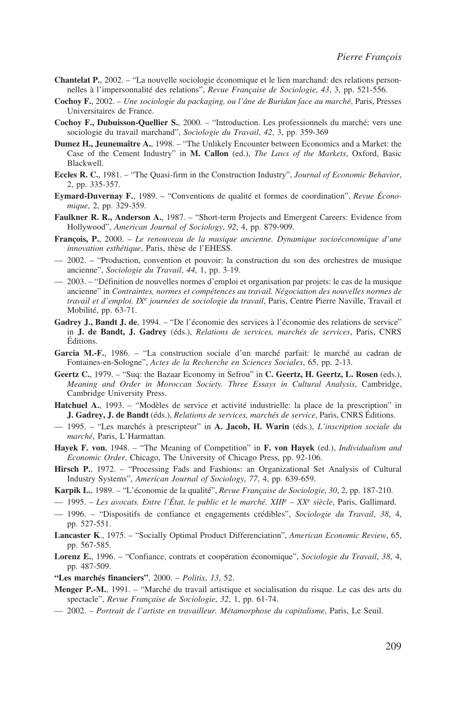- **Chantelat P.**, 2002. "La nouvelle sociologie économique et le lien marchand: des relations personnelles à l'impersonnalité des relations", *Revue Française de Sociologie*, *43*, 3, pp. 521-556.
- **Cochoy F.**, 2002. *Une sociologie du packaging, ou l'âne de Buridan face au marché*, Paris, Presses Universitaires de France.
- **Cochoy F., Dubuisson-Quellier S.**, 2000. "Introduction. Les professionnels du marché: vers une sociologie du travail marchand", *Sociologie du Travail*, *42*, 3, pp. 359-369
- **Dumez H., Jeunemaître A.**, 1998. "The Unlikely Encounter between Economics and a Market: the Case of the Cement Industry" in **M. Callon** (ed.), *The Laws of the Markets*, Oxford, Basic Blackwell.
- **Eccles R. C.**, 1981. "The Quasi-firm in the Construction Industry", *Journal of Economic Behavior*, 2, pp. 335-357.
- **Eymard-Duvernay F.**, 1989. "Conventions de qualité et formes de coordination", *Revue Économique*, 2, pp. 329-359.
- **Faulkner R. R., Anderson A.**, 1987. "Short-term Projects and Emergent Careers: Evidence from Hollywood", *American Journal of Sociology*, *92*, 4, pp. 879-909.
- **François, P.**, 2000. *Le renouveau de la musique ancienne. Dynamique socioéconomique d'une innovation esthétique*, Paris, thèse de l'EHESS.
- 2002. "Production, convention et pouvoir: la construction du son des orchestres de musique ancienne", *Sociologie du Travail*, *44*, 1, pp. 3-19.
- 2003. "Définition de nouvelles normes d'emploi et organisation par projets: le cas de la musique ancienne" in *Contraintes, normes et compétences au travail. Négociation des nouvelles normes de travail et d'emploi. IXe journées de sociologie du travail*, Paris, Centre Pierre Naville, Travail et Mobilité, pp. 63-71.
- **Gadrey J., Bandt J. de**, 1994. "De l'économie des services à l'économie des relations de service" in **J. de Bandt, J. Gadrey** (éds.), *Relations de services, marchés de services*, Paris, CNRS Éditions.
- **Garcia M.-F.**, 1986. "La construction sociale d'un marché parfait: le marché au cadran de Fontaines-en-Sologne", *Actes de la Recherche en Sciences Sociales*, 65, pp. 2-13.
- **Geertz C.**, 1979. "Suq: the Bazaar Economy in Sefrou" in **C. Geertz, H. Geertz, L. Rosen** (eds.), *Meaning and Order in Moroccan Society. Three Essays in Cultural Analysis*, Cambridge, Cambridge University Press.
- **Hatchuel A.**, 1993. "Modèles de service et activité industrielle: la place de la prescription" in **J. Gadrey, J. de Bandt** (éds.), *Relations de services, marchés de service*, Paris, CNRS Éditions.
- 1995. "Les marchés à prescripteur" in **A. Jacob, H. Warin** (éds.), *L'inscription sociale du marché*, Paris, L'Harmattan.
- **Hayek F. von**, 1948. "The Meaning of Competition" in **F. von Hayek** (ed.), *Individualism and Economic Order*, Chicago, The University of Chicago Press, pp. 92-106.
- **Hirsch P.**, 1972. "Processing Fads and Fashions: an Organizational Set Analysis of Cultural Industry Systems", *American Journal of Sociology*, *77*, 4, pp. 639-659.
- **Karpik L.**, 1989. "L'économie de la qualité", *Revue Française de Sociologie*, *30*, 2, pp. 187-210.
- 1995. *Les avocats. Entre l'État, le public et le marché. XIIIe XXe siècle*, Paris, Gallimard.
- 1996. "Dispositifs de confiance et engagements crédibles", *Sociologie du Travail*, *38*, 4, pp. 527-551.
- **Lancaster K**., 1975. "Socially Optimal Product Differenciation", *American Economic Review*, 65, pp. 567-585.
- **Lorenz E.**, 1996. "Confiance, contrats et coopération économique", *Sociologie du Travail*, *38*, 4, pp. 487-509.
- **"Les marchés financiers"**, 2000. *Politix*, *13*, 52.
- **Menger P.-M.**, 1991. "Marché du travail artistique et socialisation du risque. Le cas des arts du spectacle", *Revue Française de Sociologie*, *32*, 1, pp. 61-74.
- 2002. *Portrait de l'artiste en travailleur. Métamorphose du capitalisme*, Paris, Le Seuil.